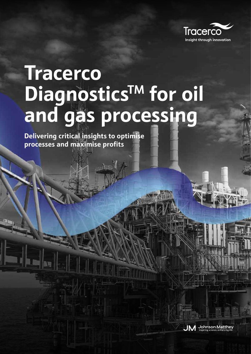

# **Tracerco**  Diagnostics<sup>TM</sup> for oil **and gas processing**

**Delivering critical insights to optimise processes and maximise profits**

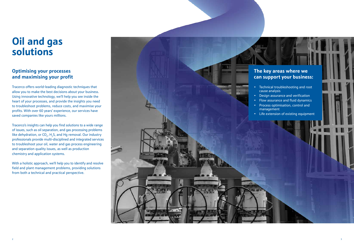# **Oil and gas solutions**

# **Optimising your processes and maximising your profit**

Tracerco offers world-leading diagnostic techniques that allow you to make the best decisions about your business. Using innovative technology, we'll help you see inside the heart of your processes, and provide the insights you need to troubleshoot problems, reduce costs, and maximise your profits. With over 60 years' experience, our services have saved companies like yours millions.

Tracerco's insights can help you find solutions to a wide range of issues, such as oil separation, and gas processing problems like dehydration, or  $CO_{2}$ , H<sub>2</sub>S, and Hg removal. Our industry professionals provide multi-disciplined and integrated services to troubleshoot your oil, water and gas process engineering and separation quality issues, as well as production chemistry and application systems.

With a holistic approach, we'll help you to identify and resolve field and plant management problems, providing solutions from both a technical and practical perspective.



# **The key areas where we can support your business:**

• Technical troubleshooting and root cause analysis

• Design assurance and verification • Flow assurance and fluid dynamics • Process optimisation, control and management

• Life extension of existing equipment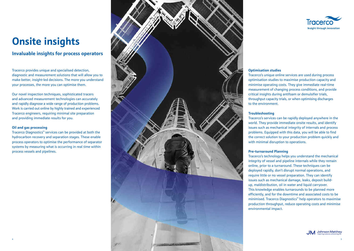

# **Optimisation studies** to the environment.

Tracerco's unique online services are used during process optimisation studies to maximise production capacity and minimise operating costs. They give immediate real-time measurement of changing process conditions, and provide critical insights during antifoam or demulsifier trials, throughput capacity trials, or when optimising discharges



**Troubleshooting**

Tracerco's services can be rapidly deployed anywhere in the world. They provide immediate onsite results, and identify issues such as mechanical integrity of internals and process problems. Equipped with this data, you will be able to find the correct solution to your production problem quickly and with minimal disruption to operations.

**Pre-turnaround Planning** Tracerco's technology helps you understand the mechanical integrity of vessel and pipeline internals while they remain online, prior to a turnaround. These techniques can be deployed rapidly, don't disrupt normal operations, and require little or no vessel preparation. They can identify issues such as mechanical damage, leaks, deposit buildup, maldistribution, oil in water and liquid carryover. This knowledge enables turnarounds to be planned more efficiently, and for the downtime and associated costs to be minimised. Tracerco Diagnostics™ help operators to maximise production throughput, reduce operating costs and minimise environmental impact.

# **Onsite insights**

Tracerco provides unique and specialised detection, diagnostic and measurement solutions that will allow you to make better, insight-led decisions. The more you understand your processes, the more you can optimise them.

Our novel inspection techniques, sophisticated tracers and advanced measurement technologies can accurately and rapidly diagnose a wide range of production problems. Work is carried out online by highly trained and experienced Tracerco engineers, requiring minimal site preparation and providing immediate results for you.

## **Oil and gas processing**

Tracerco Diagnostics™ services can be provided at both the hydrocarbon recovery and separation stages. These enable process operators to optimise the performance of separator systems by measuring what is occurring in real time within process vessels and pipelines.



# **Invaluable insights for process operators**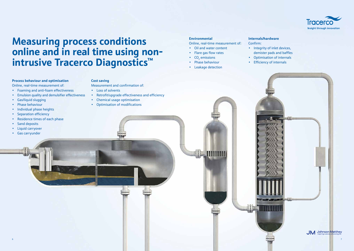

# **Measuring process conditions online and in real time using nonintrusive Tracerco Diagnostics™**

## **Process behaviour and optimisation**

Online, real-time measurement of:

- Foaming and anti-foam effectiveness
- Emulsion quality and demulsifier effectiveness
- Gas/liquid slugging
- Phase behaviour
- Individual phase heights
- Separation efficiency
- Residence times of each phase
- Sand deposits
- Liquid carryover
- Gas carryunder

### **Environmental**

Online, real-time measurement of:

**MININ** 

- Oil and water content
- Flare gas flow rates
- $CO<sub>2</sub>$  emissions
- Phase behaviour
- Leakage detection

### **Cost saving**

mini

Measurement and confirmation of:

- Loss of solvents
- Retrofit/upgrade effectiveness and efficiency
- Chemical usage optimisation
- Optimisation of modifications

## **Internals/hardware**

Confirm:

- 
- 
- 



• Integrity of inlet devices, demister pads and baffles • Optimisation of internals • Efficiency of internals